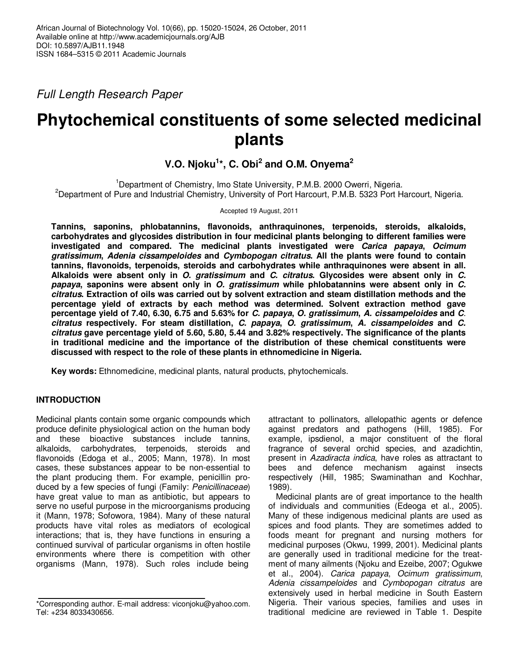Full Length Research Paper

# **Phytochemical constituents of some selected medicinal plants**

# **V.O. Njoku<sup>1</sup> \*, C. Obi<sup>2</sup> and O.M. Onyema<sup>2</sup>**

<sup>1</sup>Department of Chemistry, Imo State University, P.M.B. 2000 Owerri, Nigeria. <sup>2</sup>Department of Pure and Industrial Chemistry, University of Port Harcourt, P.M.B. 5323 Port Harcourt, Nigeria.

Accepted 19 August, 2011

**Tannins, saponins, phlobatannins, flavonoids, anthraquinones, terpenoids, steroids, alkaloids, carbohydrates and glycosides distribution in four medicinal plants belonging to different families were investigated and compared. The medicinal plants investigated were Carica papaya, Ocimum gratissimum, Adenia cissampeloides and Cymbopogan citratus. All the plants were found to contain tannins, flavonoids, terpenoids, steroids and carbohydrates while anthraquinones were absent in all. Alkaloids were absent only in O. gratissimum and C. citratus. Glycosides were absent only in C. papaya, saponins were absent only in O. gratissimum while phlobatannins were absent only in C. citratus. Extraction of oils was carried out by solvent extraction and steam distillation methods and the percentage yield of extracts by each method was determined. Solvent extraction method gave percentage yield of 7.40, 6.30, 6.75 and 5.63% for C. papaya, O. gratissimum, A. cissampeloides and C**. **citratus respectively. For steam distillation, C. papaya, O. gratissimum, A. cissampeloides and C. citratus gave percentage yield of 5.60, 5.80, 5.44 and 3.82% respectively. The significance of the plants in traditional medicine and the importance of the distribution of these chemical constituents were discussed with respect to the role of these plants in ethnomedicine in Nigeria.** 

**Key words:** Ethnomedicine, medicinal plants, natural products, phytochemicals.

# **INTRODUCTION**

Medicinal plants contain some organic compounds which produce definite physiological action on the human body and these bioactive substances include tannins, alkaloids, carbohydrates, terpenoids, steroids and flavonoids (Edoga et al., 2005; Mann, 1978). In most cases, these substances appear to be non-essential to the plant producing them. For example, penicillin produced by a few species of fungi (Family: Penicillinaceae) have great value to man as antibiotic, but appears to serve no useful purpose in the microorganisms producing it (Mann, 1978; Sofowora, 1984). Many of these natural products have vital roles as mediators of ecological interactions; that is, they have functions in ensuring a continued survival of particular organisms in often hostile environments where there is competition with other organisms (Mann, 1978). Such roles include being

attractant to pollinators, allelopathic agents or defence against predators and pathogens (Hill, 1985). For example, ipsdienol, a major constituent of the floral fragrance of several orchid species, and azadichtin, present in Azadiracta indica, have roles as attractant to bees and defence mechanism against insects respectively (Hill, 1985; Swaminathan and Kochhar, 1989).

Medicinal plants are of great importance to the health of individuals and communities (Edeoga et al., 2005). Many of these indigenous medicinal plants are used as spices and food plants. They are sometimes added to foods meant for pregnant and nursing mothers for medicinal purposes (Okwu, 1999, 2001). Medicinal plants are generally used in traditional medicine for the treatment of many ailments (Njoku and Ezeibe, 2007; Ogukwe et al., 2004). Carica papaya, Ocimum gratissimum, Adenia cissampeloides and Cymbopogan citratus are extensively used in herbal medicine in South Eastern Nigeria. Their various species, families and uses in traditional medicine are reviewed in Table 1. Despite

<sup>\*</sup>Corresponding author. E-mail address: viconjoku@yahoo.com. Tel: +234 8033430656.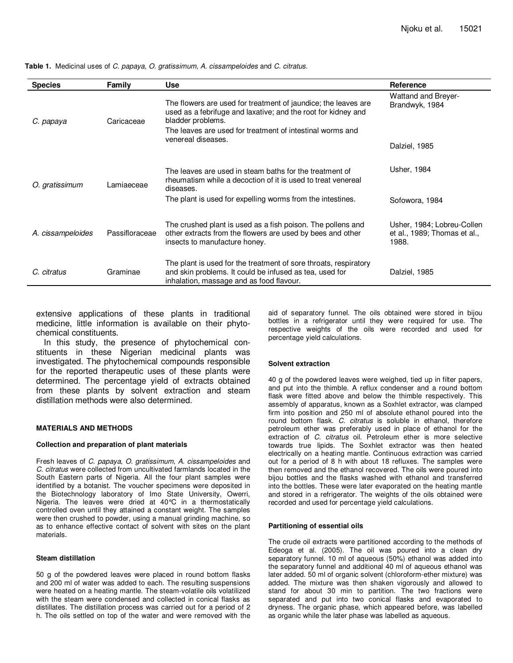| <b>Species</b>    | Family             | <b>Use</b>                                                                                                                                                                                                        | Reference                                                           |
|-------------------|--------------------|-------------------------------------------------------------------------------------------------------------------------------------------------------------------------------------------------------------------|---------------------------------------------------------------------|
| C. papaya         | Caricaceae         | The flowers are used for treatment of jaundice; the leaves are<br>used as a febrifuge and laxative; and the root for kidney and<br>bladder problems.<br>The leaves are used for treatment of intestinal worms and | <b>Wattand and Breyer-</b><br>Brandwyk, 1984                        |
|                   | venereal diseases. | Dalziel, 1985                                                                                                                                                                                                     |                                                                     |
| O. gratissimum    | Lamiaeceae         | The leaves are used in steam baths for the treatment of<br>rheumatism while a decoction of it is used to treat venereal<br>diseases.                                                                              | Usher, 1984                                                         |
|                   |                    | The plant is used for expelling worms from the intestines.                                                                                                                                                        | Sofowora, 1984                                                      |
| A. cissampeloides | Passifloraceae     | The crushed plant is used as a fish poison. The pollens and<br>other extracts from the flowers are used by bees and other<br>insects to manufacture honey.                                                        | Usher, 1984; Lobreu-Collen<br>et al., 1989; Thomas et al.,<br>1988. |
| C. citratus       | Graminae           | The plant is used for the treatment of sore throats, respiratory<br>and skin problems. It could be infused as tea, used for<br>inhalation, massage and as food flavour.                                           | Dalziel, 1985                                                       |

**Table 1.** Medicinal uses of C. papaya, O. gratissimum, A. cissampeloides and C. citratus.

extensive applications of these plants in traditional medicine, little information is available on their phytochemical constituents.

In this study, the presence of phytochemical constituents in these Nigerian medicinal plants was investigated. The phytochemical compounds responsible for the reported therapeutic uses of these plants were determined. The percentage yield of extracts obtained from these plants by solvent extraction and steam distillation methods were also determined.

#### **MATERIALS AND METHODS**

#### **Collection and preparation of plant materials**

Fresh leaves of C. papaya, O. gratissimum, A. cissampeloides and C. citratus were collected from uncultivated farmlands located in the South Eastern parts of Nigeria. All the four plant samples were identified by a botanist. The voucher specimens were deposited in the Biotechnology laboratory of Imo State University, Owerri, Nigeria. The leaves were dried at 40°C in a thermostatically controlled oven until they attained a constant weight. The samples were then crushed to powder, using a manual grinding machine, so as to enhance effective contact of solvent with sites on the plant materials.

#### **Steam distillation**

50 g of the powdered leaves were placed in round bottom flasks and 200 ml of water was added to each. The resulting suspensions were heated on a heating mantle. The steam-volatile oils volatilized with the steam were condensed and collected in conical flasks as distillates. The distillation process was carried out for a period of 2 h. The oils settled on top of the water and were removed with the

aid of separatory funnel. The oils obtained were stored in bijou bottles in a refrigerator until they were required for use. The respective weights of the oils were recorded and used for percentage yield calculations.

#### **Solvent extraction**

40 g of the powdered leaves were weighed, tied up in filter papers, and put into the thimble. A reflux condenser and a round bottom flask were fitted above and below the thimble respectively. This assembly of apparatus, known as a Soxhlet extractor, was clamped firm into position and 250 ml of absolute ethanol poured into the round bottom flask. C. citratus is soluble in ethanol, therefore petroleum ether was preferably used in place of ethanol for the extraction of C. citratus oil. Petroleum ether is more selective towards true lipids. The Soxhlet extractor was then heated electrically on a heating mantle. Continuous extraction was carried out for a period of 8 h with about 18 refluxes. The samples were then removed and the ethanol recovered. The oils were poured into bijou bottles and the flasks washed with ethanol and transferred into the bottles. These were later evaporated on the heating mantle and stored in a refrigerator. The weights of the oils obtained were recorded and used for percentage yield calculations.

#### **Partitioning of essential oils**

The crude oil extracts were partitioned according to the methods of Edeoga et al. (2005). The oil was poured into a clean dry separatory funnel. 10 ml of aqueous (50%) ethanol was added into the separatory funnel and additional 40 ml of aqueous ethanol was later added. 50 ml of organic solvent (chloroform-ether mixture) was added. The mixture was then shaken vigorously and allowed to stand for about 30 min to partition. The two fractions were separated and put into two conical flasks and evaporated to dryness. The organic phase, which appeared before, was labelled as organic while the later phase was labelled as aqueous.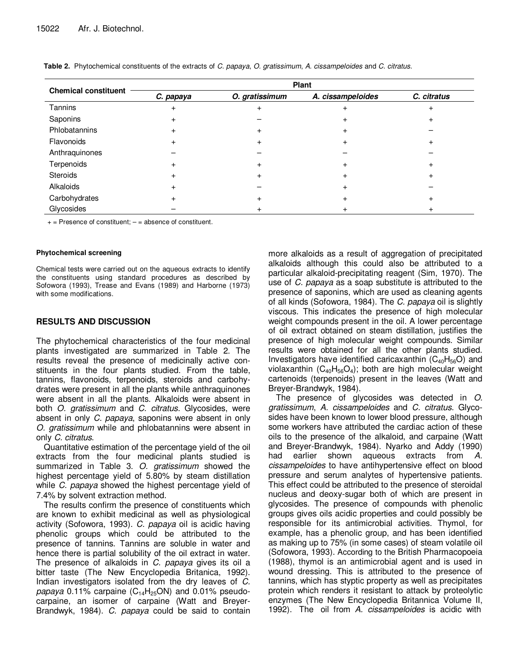|                             | Plant     |                |                   |             |  |  |
|-----------------------------|-----------|----------------|-------------------|-------------|--|--|
| <b>Chemical constituent</b> | C. papaya | O. gratissimum | A. cissampeloides | C. citratus |  |  |
| Tannins                     | $\ddot{}$ |                |                   |             |  |  |
| Saponins                    | $\ddot{}$ |                |                   |             |  |  |
| Phlobatannins               | $\ddot{}$ |                |                   |             |  |  |
| Flavonoids                  | $+$       |                | +                 |             |  |  |
| Anthraquinones              |           |                |                   |             |  |  |
| Terpenoids                  | $\ddot{}$ | +              | +                 |             |  |  |
| <b>Steroids</b>             | $\ddot{}$ | $^{+}$         | ÷                 |             |  |  |
| Alkaloids                   | $+$       |                | $\pm$             |             |  |  |
| Carbohydrates               | $+$       |                | +                 |             |  |  |
| Glycosides                  |           |                | +                 |             |  |  |

**Table 2.** Phytochemical constituents of the extracts of C. papaya, O. gratissimum, A. cissampeloides and C. citratus.

 $+=$  Presence of constituent;  $=$  = absence of constituent.

#### **Phytochemical screening**

Chemical tests were carried out on the aqueous extracts to identify the constituents using standard procedures as described by Sofowora (1993), Trease and Evans (1989) and Harborne (1973) with some modifications.

## **RESULTS AND DISCUSSION**

The phytochemical characteristics of the four medicinal plants investigated are summarized in Table 2. The results reveal the presence of medicinally active constituents in the four plants studied. From the table, tannins, flavonoids, terpenoids, steroids and carbohydrates were present in all the plants while anthraquinones were absent in all the plants. Alkaloids were absent in both *O. gratissimum* and *C. citratus*. Glycosides, were absent in only C. papaya, saponins were absent in only O. gratissimum while and phlobatannins were absent in only C. citratus.

Quantitative estimation of the percentage yield of the oil extracts from the four medicinal plants studied is summarized in Table 3. O. gratissimum showed the highest percentage yield of 5.80% by steam distillation while C. papaya showed the highest percentage yield of 7.4% by solvent extraction method.

The results confirm the presence of constituents which are known to exhibit medicinal as well as physiological activity (Sofowora, 1993). C. papaya oil is acidic having phenolic groups which could be attributed to the presence of tannins. Tannins are soluble in water and hence there is partial solubility of the oil extract in water. The presence of alkaloids in C. papaya gives its oil a bitter taste (The New Encyclopedia Britanica, 1992). Indian investigators isolated from the dry leaves of C. papaya 0.11% carpaine  $(C_{14}H_{25}ON)$  and 0.01% pseudocarpaine, an isomer of carpaine (Watt and Breyer-Brandwyk, 1984). C. papaya could be said to contain more alkaloids as a result of aggregation of precipitated alkaloids although this could also be attributed to a particular alkaloid-precipitating reagent (Sim, 1970). The use of C. papaya as a soap substitute is attributed to the presence of saponins, which are used as cleaning agents of all kinds (Sofowora, 1984). The C. papaya oil is slightly viscous. This indicates the presence of high molecular weight compounds present in the oil. A lower percentage of oil extract obtained on steam distillation, justifies the presence of high molecular weight compounds. Similar results were obtained for all the other plants studied. Investigators have identified caricaxanthin  $(C_{40}H_{56}O)$  and violaxanthin  $(C_{40}H_{56}O_4)$ ; both are high molecular weight cartenoids (terpenoids) present in the leaves (Watt and Breyer-Brandwyk, 1984).

The presence of glycosides was detected in O. gratissimum, A. cissampeloides and C. citratus. Glycosides have been known to lower blood pressure, although some workers have attributed the cardiac action of these oils to the presence of the alkaloid, and carpaine (Watt and Breyer-Brandwyk, 1984). Nyarko and Addy (1990) had earlier shown aqueous extracts from A. cissampeloides to have antihypertensive effect on blood pressure and serum analytes of hypertensive patients. This effect could be attributed to the presence of steroidal nucleus and deoxy-sugar both of which are present in glycosides. The presence of compounds with phenolic groups gives oils acidic properties and could possibly be responsible for its antimicrobial activities. Thymol, for example, has a phenolic group, and has been identified as making up to 75% (in some cases) of steam volatile oil (Sofowora, 1993). According to the British Pharmacopoeia (1988), thymol is an antimicrobial agent and is used in wound dressing. This is attributed to the presence of tannins, which has styptic property as well as precipitates protein which renders it resistant to attack by proteolytic enzymes (The New Encyclopedia Britannica Volume II, 1992). The oil from A. cissampeloides is acidic with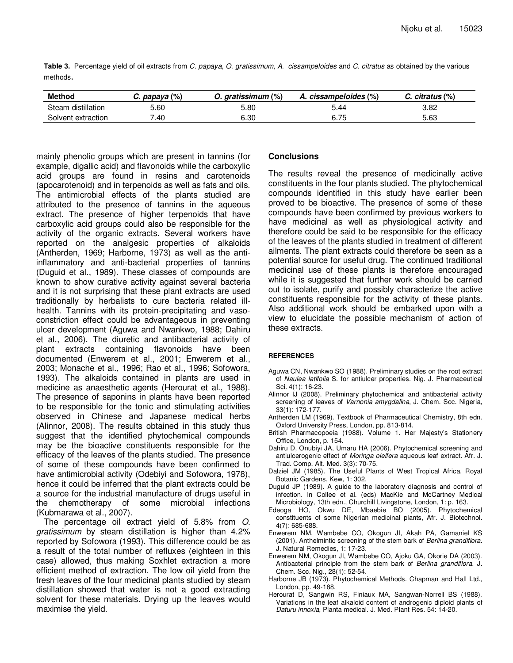**Table 3.** Percentage yield of oil extracts from C. papaya, O. gratissimum, A. cissampeloides and C. citratus as obtained by the various methods.

| <b>Method</b>      | C. papaya (%) | 0. aratissimum (%) | A. cissampeloides (%) | $C.$ citratus $(\%)$ |
|--------------------|---------------|--------------------|-----------------------|----------------------|
| Steam distillation | 5.60          | 5.80               | 5.44                  | 3.82                 |
| Solvent extraction | .40           | 6.30               | 6.75                  | 5.63                 |

mainly phenolic groups which are present in tannins (for example, digallic acid) and flavonoids while the carboxylic acid groups are found in resins and carotenoids (apocarotenoid) and in terpenoids as well as fats and oils. The antimicrobial effects of the plants studied are attributed to the presence of tannins in the aqueous extract. The presence of higher terpenoids that have carboxylic acid groups could also be responsible for the activity of the organic extracts. Several workers have reported on the analgesic properties of alkaloids (Antherden, 1969; Harborne, 1973) as well as the antiinflammatory and anti-bacterial properties of tannins (Duguid et al., 1989). These classes of compounds are known to show curative activity against several bacteria and it is not surprising that these plant extracts are used traditionally by herbalists to cure bacteria related illhealth. Tannins with its protein-precipitating and vasoconstriction effect could be advantageous in preventing ulcer development (Aguwa and Nwankwo, 1988; Dahiru et al., 2006). The diuretic and antibacterial activity of plant extracts containing flavonoids have been documented (Enwerem et al., 2001; Enwerem et al., 2003; Monache et al., 1996; Rao et al., 1996; Sofowora, 1993). The alkaloids contained in plants are used in medicine as anaesthetic agents (Herourat et al., 1988). The presence of saponins in plants have been reported to be responsible for the tonic and stimulating activities observed in Chinese and Japanese medical herbs (Alinnor, 2008). The results obtained in this study thus suggest that the identified phytochemical compounds may be the bioactive constituents responsible for the efficacy of the leaves of the plants studied. The presence of some of these compounds have been confirmed to have antimicrobial activity (Odebiyi and Sofowora, 1978), hence it could be inferred that the plant extracts could be a source for the industrial manufacture of drugs useful in the chemotherapy of some microbial infections (Kubmarawa et al., 2007).

The percentage oil extract yield of 5.8% from O. gratissimum by steam distillation is higher than 4.2% reported by Sofowora (1993). This difference could be as a result of the total number of refluxes (eighteen in this case) allowed, thus making Soxhlet extraction a more efficient method of extraction. The low oil yield from the fresh leaves of the four medicinal plants studied by steam distillation showed that water is not a good extracting solvent for these materials. Drying up the leaves would maximise the yield.

### **Conclusions**

The results reveal the presence of medicinally active constituents in the four plants studied. The phytochemical compounds identified in this study have earlier been proved to be bioactive. The presence of some of these compounds have been confirmed by previous workers to have medicinal as well as physiological activity and therefore could be said to be responsible for the efficacy of the leaves of the plants studied in treatment of different ailments. The plant extracts could therefore be seen as a potential source for useful drug. The continued traditional medicinal use of these plants is therefore encouraged while it is suggested that further work should be carried out to isolate, purify and possibly characterize the active constituents responsible for the activity of these plants. Also additional work should be embarked upon with a view to elucidate the possible mechanism of action of these extracts.

#### **REFERENCES**

- Aguwa CN, Nwankwo SO (1988). Preliminary studies on the root extract of Naulea latifolia S. for antiulcer properties. Nig. J. Pharmaceutical Sci. 4(1): 16-23.
- Alinnor IJ (2008). Preliminary phytochemical and antibacterial activity screening of leaves of Varnonia amygdalina, J. Chem. Soc. Nigeria, 33(1): 172-177.
- Antherden LM (1969). Textbook of Pharmaceutical Chemistry, 8th edn. Oxford University Press, London, pp. 813-814.
- British Pharmacopoeia (1988). Volume 1. Her Majesty's Stationery Office, London, p. 154.
- Dahiru D, Onubiyi JA, Umaru HA (2006). Phytochemical screening and antiulcerogenic effect of Moringa oleifera aqueous leaf extract. Afr. J. Trad. Comp. Alt. Med. 3(3): 70-75.
- Dalziel JM (1985). The Useful Plants of West Tropical Africa. Royal Botanic Gardens, Kew, 1: 302.
- Duguid JP (1989). A guide to the laboratory diagnosis and control of infection. In Collee et al. (eds) MacKie and McCartney Medical Microbiology, 13th edn., Churchill Livingstone, London, 1: p. 163.
- Edeoga HO, Okwu DE, Mbaebie BO (2005). Phytochemical constituents of some Nigerian medicinal plants, Afr. J. Biotechnol. 4(7): 685-688.
- Enwerem NM, Wambebe CO, Okogun JI, Akah PA, Gamaniel KS (2001). Anthelmintic screening of the stem bark of Berlina grandiflora. J. Natural Remedies, 1: 17-23.
- Enwerem NM, Okogun JI, Wambebe CO, Ajoku GA, Okorie DA (2003). Antibacterial principle from the stem bark of Berlina grandiflora. J. Chem. Soc. Nig., 28(1): 52-54.
- Harborne JB (1973). Phytochemical Methods. Chapman and Hall Ltd., London, pp. 49-188.
- Herourat D, Sangwin RS, Finiaux MA, Sangwan-Norrell BS (1988). Variations in the leaf alkaloid content of androgenic diploid plants of Daturu innoxia, Planta medical. J. Med. Plant Res. 54: 14-20.